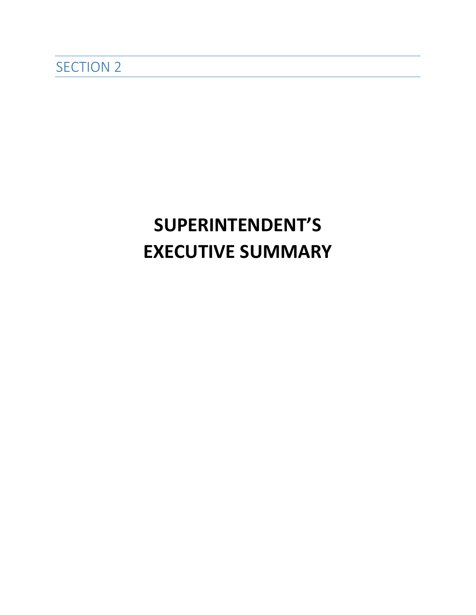## **SUPERINTENDENT'S EXECUTIVE SUMMARY**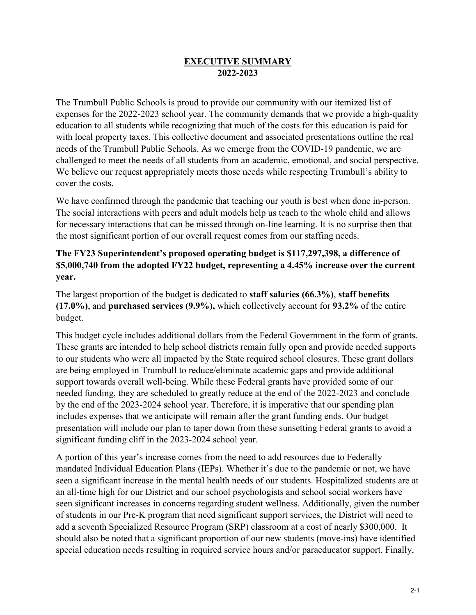## **EXECUTIVE SUMMARY 2022-2023**

The Trumbull Public Schools is proud to provide our community with our itemized list of expenses for the 2022-2023 school year. The community demands that we provide a high-quality education to all students while recognizing that much of the costs for this education is paid for with local property taxes. This collective document and associated presentations outline the real needs of the Trumbull Public Schools. As we emerge from the COVID-19 pandemic, we are challenged to meet the needs of all students from an academic, emotional, and social perspective. We believe our request appropriately meets those needs while respecting Trumbull's ability to cover the costs.

We have confirmed through the pandemic that teaching our youth is best when done in-person. The social interactions with peers and adult models help us teach to the whole child and allows for necessary interactions that can be missed through on-line learning. It is no surprise then that the most significant portion of our overall request comes from our staffing needs.

## **The FY23 Superintendent's proposed operating budget is \$117,297,398, a difference of \$5,000,740 from the adopted FY22 budget, representing a 4.45% increase over the current year.**

The largest proportion of the budget is dedicated to **staff salaries (66.3%)**, **staff benefits (17.0%)**, and **purchased services (9.9%),** which collectively account for **93.2%** of the entire budget.

This budget cycle includes additional dollars from the Federal Government in the form of grants. These grants are intended to help school districts remain fully open and provide needed supports to our students who were all impacted by the State required school closures. These grant dollars are being employed in Trumbull to reduce/eliminate academic gaps and provide additional support towards overall well-being. While these Federal grants have provided some of our needed funding, they are scheduled to greatly reduce at the end of the 2022-2023 and conclude by the end of the 2023-2024 school year. Therefore, it is imperative that our spending plan includes expenses that we anticipate will remain after the grant funding ends. Our budget presentation will include our plan to taper down from these sunsetting Federal grants to avoid a significant funding cliff in the 2023-2024 school year.

A portion of this year's increase comes from the need to add resources due to Federally mandated Individual Education Plans (IEPs). Whether it's due to the pandemic or not, we have seen a significant increase in the mental health needs of our students. Hospitalized students are at an all-time high for our District and our school psychologists and school social workers have seen significant increases in concerns regarding student wellness. Additionally, given the number of students in our Pre-K program that need significant support services, the District will need to add a seventh Specialized Resource Program (SRP) classroom at a cost of nearly \$300,000. It should also be noted that a significant proportion of our new students (move-ins) have identified special education needs resulting in required service hours and/or paraeducator support. Finally,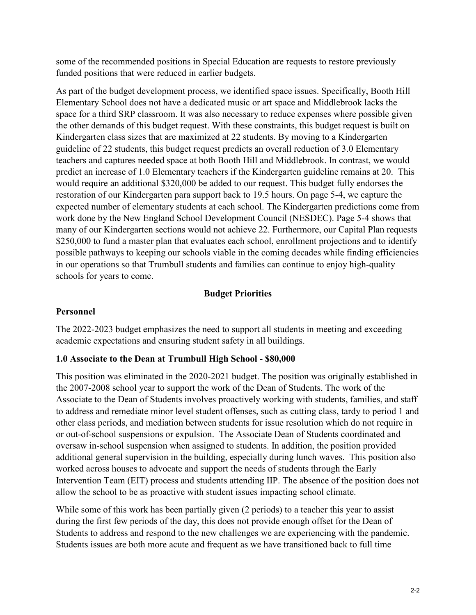some of the recommended positions in Special Education are requests to restore previously funded positions that were reduced in earlier budgets.

As part of the budget development process, we identified space issues. Specifically, Booth Hill Elementary School does not have a dedicated music or art space and Middlebrook lacks the space for a third SRP classroom. It was also necessary to reduce expenses where possible given the other demands of this budget request. With these constraints, this budget request is built on Kindergarten class sizes that are maximized at 22 students. By moving to a Kindergarten guideline of 22 students, this budget request predicts an overall reduction of 3.0 Elementary teachers and captures needed space at both Booth Hill and Middlebrook. In contrast, we would predict an increase of 1.0 Elementary teachers if the Kindergarten guideline remains at 20. This would require an additional \$320,000 be added to our request. This budget fully endorses the restoration of our Kindergarten para support back to 19.5 hours. On page 5-4, we capture the expected number of elementary students at each school. The Kindergarten predictions come from work done by the New England School Development Council (NESDEC). Page 5-4 shows that many of our Kindergarten sections would not achieve 22. Furthermore, our Capital Plan requests \$250,000 to fund a master plan that evaluates each school, enrollment projections and to identify possible pathways to keeping our schools viable in the coming decades while finding efficiencies in our operations so that Trumbull students and families can continue to enjoy high-quality schools for years to come.

## **Budget Priorities**

## **Personnel**

The 2022-2023 budget emphasizes the need to support all students in meeting and exceeding academic expectations and ensuring student safety in all buildings.

## **1.0 Associate to the Dean at Trumbull High School - \$80,000**

This position was eliminated in the 2020-2021 budget. The position was originally established in the 2007-2008 school year to support the work of the Dean of Students. The work of the Associate to the Dean of Students involves proactively working with students, families, and staff to address and remediate minor level student offenses, such as cutting class, tardy to period 1 and other class periods, and mediation between students for issue resolution which do not require in or out-of-school suspensions or expulsion. The Associate Dean of Students coordinated and oversaw in-school suspension when assigned to students. In addition, the position provided additional general supervision in the building, especially during lunch waves. This position also worked across houses to advocate and support the needs of students through the Early Intervention Team (EIT) process and students attending IIP. The absence of the position does not allow the school to be as proactive with student issues impacting school climate.

While some of this work has been partially given (2 periods) to a teacher this year to assist during the first few periods of the day, this does not provide enough offset for the Dean of Students to address and respond to the new challenges we are experiencing with the pandemic. Students issues are both more acute and frequent as we have transitioned back to full time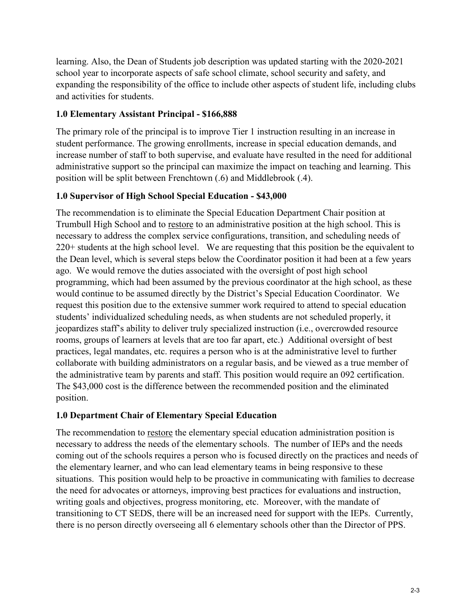learning. Also, the Dean of Students job description was updated starting with the 2020-2021 school year to incorporate aspects of safe school climate, school security and safety, and expanding the responsibility of the office to include other aspects of student life, including clubs and activities for students.

## **1.0 Elementary Assistant Principal - \$166,888**

The primary role of the principal is to improve Tier 1 instruction resulting in an increase in student performance. The growing enrollments, increase in special education demands, and increase number of staff to both supervise, and evaluate have resulted in the need for additional administrative support so the principal can maximize the impact on teaching and learning. This position will be split between Frenchtown (.6) and Middlebrook (.4).

## **1.0 Supervisor of High School Special Education - \$43,000**

The recommendation is to eliminate the Special Education Department Chair position at Trumbull High School and to restore to an administrative position at the high school. This is necessary to address the complex service configurations, transition, and scheduling needs of 220+ students at the high school level. We are requesting that this position be the equivalent to the Dean level, which is several steps below the Coordinator position it had been at a few years ago. We would remove the duties associated with the oversight of post high school programming, which had been assumed by the previous coordinator at the high school, as these would continue to be assumed directly by the District's Special Education Coordinator. We request this position due to the extensive summer work required to attend to special education students' individualized scheduling needs, as when students are not scheduled properly, it jeopardizes staff's ability to deliver truly specialized instruction (i.e., overcrowded resource rooms, groups of learners at levels that are too far apart, etc.) Additional oversight of best practices, legal mandates, etc. requires a person who is at the administrative level to further collaborate with building administrators on a regular basis, and be viewed as a true member of the administrative team by parents and staff. This position would require an 092 certification. The \$43,000 cost is the difference between the recommended position and the eliminated position.

## **1.0 Department Chair of Elementary Special Education**

The recommendation to restore the elementary special education administration position is necessary to address the needs of the elementary schools. The number of IEPs and the needs coming out of the schools requires a person who is focused directly on the practices and needs of the elementary learner, and who can lead elementary teams in being responsive to these situations. This position would help to be proactive in communicating with families to decrease the need for advocates or attorneys, improving best practices for evaluations and instruction, writing goals and objectives, progress monitoring, etc. Moreover, with the mandate of transitioning to CT SEDS, there will be an increased need for support with the IEPs. Currently, there is no person directly overseeing all 6 elementary schools other than the Director of PPS.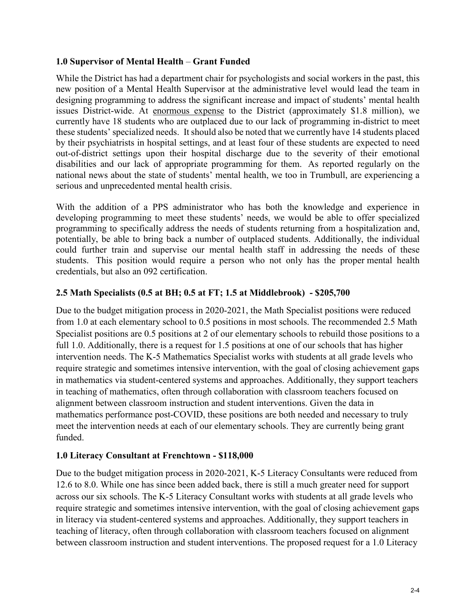## **1.0 Supervisor of Mental Health** – **Grant Funded**

While the District has had a department chair for psychologists and social workers in the past, this new position of a Mental Health Supervisor at the administrative level would lead the team in designing programming to address the significant increase and impact of students' mental health issues District-wide. At enormous expense to the District (approximately \$1.8 million), we currently have 18 students who are outplaced due to our lack of programming in-district to meet these students' specialized needs. It should also be noted that we currently have 14 students placed by their psychiatrists in hospital settings, and at least four of these students are expected to need out-of-district settings upon their hospital discharge due to the severity of their emotional disabilities and our lack of appropriate programming for them. As reported regularly on the national news about the state of students' mental health, we too in Trumbull, are experiencing a serious and unprecedented mental health crisis.

With the addition of a PPS administrator who has both the knowledge and experience in developing programming to meet these students' needs, we would be able to offer specialized programming to specifically address the needs of students returning from a hospitalization and, potentially, be able to bring back a number of outplaced students. Additionally, the individual could further train and supervise our mental health staff in addressing the needs of these students. This position would require a person who not only has the proper mental health credentials, but also an 092 certification.

## **2.5 Math Specialists (0.5 at BH; [0.5 at FT;](mailto:.5%20at%20FT) 1.5 at Middlebrook) - \$205,700**

Due to the budget mitigation process in 2020-2021, the Math Specialist positions were reduced from 1.0 at each elementary school to 0.5 positions in most schools. The recommended 2.5 Math Specialist positions are 0.5 positions at 2 of our elementary schools to rebuild those positions to a full 1.0. Additionally, there is a request for 1.5 positions at one of our schools that has higher intervention needs. The K-5 Mathematics Specialist works with students at all grade levels who require strategic and sometimes intensive intervention, with the goal of closing achievement gaps in mathematics via student-centered systems and approaches. Additionally, they support teachers in teaching of mathematics, often through collaboration with classroom teachers focused on alignment between classroom instruction and student interventions. Given the data in mathematics performance post-COVID, these positions are both needed and necessary to truly meet the intervention needs at each of our elementary schools. They are currently being grant funded.

## **1.0 Literacy Consultant at Frenchtown - \$118,000**

Due to the budget mitigation process in 2020-2021, K-5 Literacy Consultants were reduced from 12.6 to 8.0. While one has since been added back, there is still a much greater need for support across our six schools. The K-5 Literacy Consultant works with students at all grade levels who require strategic and sometimes intensive intervention, with the goal of closing achievement gaps in literacy via student-centered systems and approaches. Additionally, they support teachers in teaching of literacy, often through collaboration with classroom teachers focused on alignment between classroom instruction and student interventions. The proposed request for a 1.0 Literacy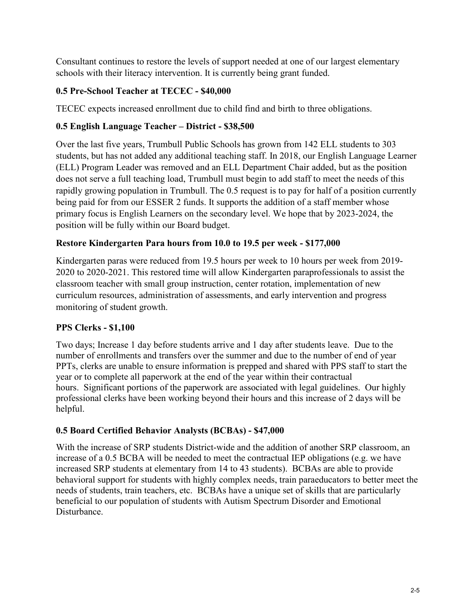Consultant continues to restore the levels of support needed at one of our largest elementary schools with their literacy intervention. It is currently being grant funded.

## **0.5 Pre-School Teacher at TECEC - \$40,000**

TECEC expects increased enrollment due to child find and birth to three obligations.

## **0.5 English Language Teacher – District - \$38,500**

Over the last five years, Trumbull Public Schools has grown from 142 ELL students to 303 students, but has not added any additional teaching staff. In 2018, our English Language Learner (ELL) Program Leader was removed and an ELL Department Chair added, but as the position does not serve a full teaching load, Trumbull must begin to add staff to meet the needs of this rapidly growing population in Trumbull. The 0.5 request is to pay for half of a position currently being paid for from our ESSER 2 funds. It supports the addition of a staff member whose primary focus is English Learners on the secondary level. We hope that by 2023-2024, the position will be fully within our Board budget.

## **Restore Kindergarten Para hours from 10.0 to 19.5 per week - \$177,000**

Kindergarten paras were reduced from 19.5 hours per week to 10 hours per week from 2019- 2020 to 2020-2021. This restored time will allow Kindergarten paraprofessionals to assist the classroom teacher with small group instruction, center rotation, implementation of new curriculum resources, administration of assessments, and early intervention and progress monitoring of student growth.

## **PPS Clerks - \$1,100**

Two days; Increase 1 day before students arrive and 1 day after students leave. Due to the number of enrollments and transfers over the summer and due to the number of end of year PPTs, clerks are unable to ensure information is prepped and shared with PPS staff to start the year or to complete all paperwork at the end of the year within their contractual hours. Significant portions of the paperwork are associated with legal guidelines. Our highly professional clerks have been working beyond their hours and this increase of 2 days will be helpful.

## **0.5 Board Certified Behavior Analysts (BCBAs) - \$47,000**

With the increase of SRP students District-wide and the addition of another SRP classroom, an increase of a 0.5 BCBA will be needed to meet the contractual IEP obligations (e.g. we have increased SRP students at elementary from 14 to 43 students). BCBAs are able to provide behavioral support for students with highly complex needs, train paraeducators to better meet the needs of students, train teachers, etc. BCBAs have a unique set of skills that are particularly beneficial to our population of students with Autism Spectrum Disorder and Emotional Disturbance.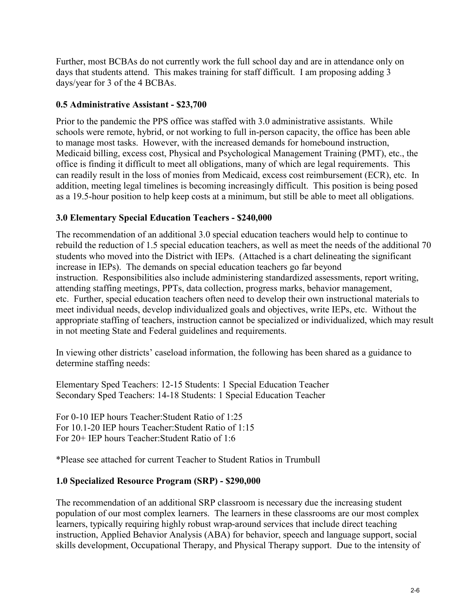Further, most BCBAs do not currently work the full school day and are in attendance only on days that students attend. This makes training for staff difficult. I am proposing adding 3 days/year for 3 of the 4 BCBAs.

## **0.5 Administrative Assistant - \$23,700**

Prior to the pandemic the PPS office was staffed with 3.0 administrative assistants. While schools were remote, hybrid, or not working to full in-person capacity, the office has been able to manage most tasks. However, with the increased demands for homebound instruction, Medicaid billing, excess cost, Physical and Psychological Management Training (PMT), etc., the office is finding it difficult to meet all obligations, many of which are legal requirements. This can readily result in the loss of monies from Medicaid, excess cost reimbursement (ECR), etc. In addition, meeting legal timelines is becoming increasingly difficult. This position is being posed as a 19.5-hour position to help keep costs at a minimum, but still be able to meet all obligations.

## **3.0 Elementary Special Education Teachers - \$240,000**

The recommendation of an additional 3.0 special education teachers would help to continue to rebuild the reduction of 1.5 special education teachers, as well as meet the needs of the additional 70 students who moved into the District with IEPs. (Attached is a chart delineating the significant increase in IEPs). The demands on special education teachers go far beyond instruction. Responsibilities also include administering standardized assessments, report writing, attending staffing meetings, PPTs, data collection, progress marks, behavior management, etc. Further, special education teachers often need to develop their own instructional materials to meet individual needs, develop individualized goals and objectives, write IEPs, etc. Without the appropriate staffing of teachers, instruction cannot be specialized or individualized, which may result in not meeting State and Federal guidelines and requirements.

In viewing other districts' caseload information, the following has been shared as a guidance to determine staffing needs:

Elementary Sped Teachers: 12-15 Students: 1 Special Education Teacher Secondary Sped Teachers: 14-18 Students: 1 Special Education Teacher

For 0-10 IEP hours Teacher:Student Ratio of 1:25 For 10.1-20 IEP hours Teacher:Student Ratio of 1:15 For 20+ IEP hours Teacher:Student Ratio of 1:6

\*Please see attached for current Teacher to Student Ratios in Trumbull

## **1.0 Specialized Resource Program (SRP) - \$290,000**

The recommendation of an additional SRP classroom is necessary due the increasing student population of our most complex learners. The learners in these classrooms are our most complex learners, typically requiring highly robust wrap-around services that include direct teaching instruction, Applied Behavior Analysis (ABA) for behavior, speech and language support, social skills development, Occupational Therapy, and Physical Therapy support. Due to the intensity of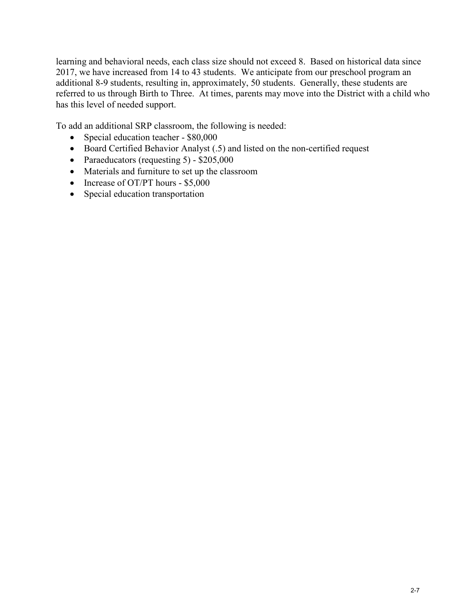learning and behavioral needs, each class size should not exceed 8. Based on historical data since 2017, we have increased from 14 to 43 students. We anticipate from our preschool program an additional 8-9 students, resulting in, approximately, 50 students. Generally, these students are referred to us through Birth to Three. At times, parents may move into the District with a child who has this level of needed support.

To add an additional SRP classroom, the following is needed:

- Special education teacher \$80,000
- Board Certified Behavior Analyst (.5) and listed on the non-certified request
- Paraeducators (requesting 5) \$205,000
- Materials and furniture to set up the classroom
- Increase of OT/PT hours \$5,000
- Special education transportation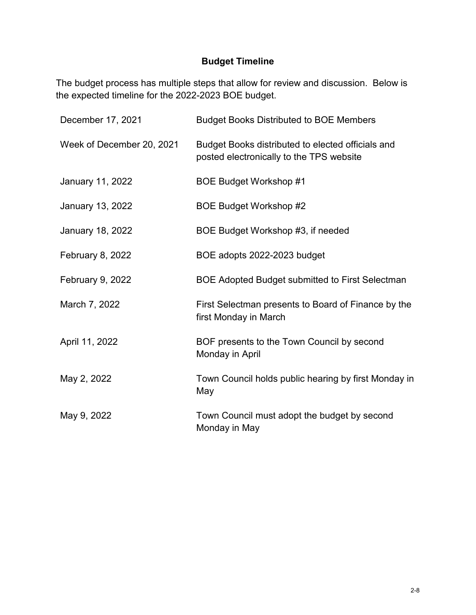## **Budget Timeline**

The budget process has multiple steps that allow for review and discussion. Below is the expected timeline for the 2022-2023 BOE budget.

| December 17, 2021         | <b>Budget Books Distributed to BOE Members</b>                                                |
|---------------------------|-----------------------------------------------------------------------------------------------|
| Week of December 20, 2021 | Budget Books distributed to elected officials and<br>posted electronically to the TPS website |
| January 11, 2022          | <b>BOE Budget Workshop #1</b>                                                                 |
| January 13, 2022          | BOE Budget Workshop #2                                                                        |
| <b>January 18, 2022</b>   | BOE Budget Workshop #3, if needed                                                             |
| February 8, 2022          | BOE adopts 2022-2023 budget                                                                   |
| February 9, 2022          | <b>BOE Adopted Budget submitted to First Selectman</b>                                        |
| March 7, 2022             | First Selectman presents to Board of Finance by the<br>first Monday in March                  |
| April 11, 2022            | BOF presents to the Town Council by second<br>Monday in April                                 |
| May 2, 2022               | Town Council holds public hearing by first Monday in<br>May                                   |
| May 9, 2022               | Town Council must adopt the budget by second<br>Monday in May                                 |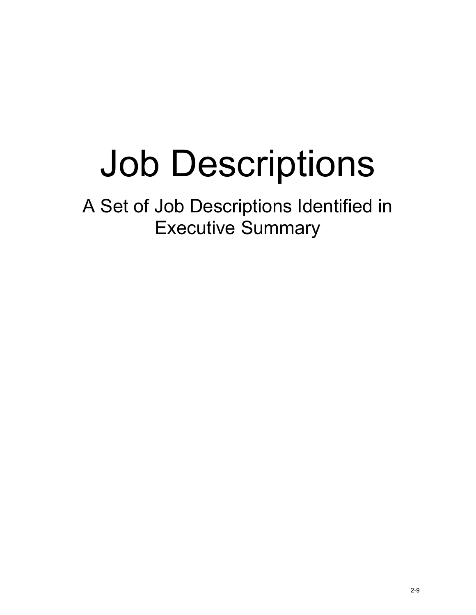# Job Descriptions

A Set of Job Descriptions Identified in Executive Summary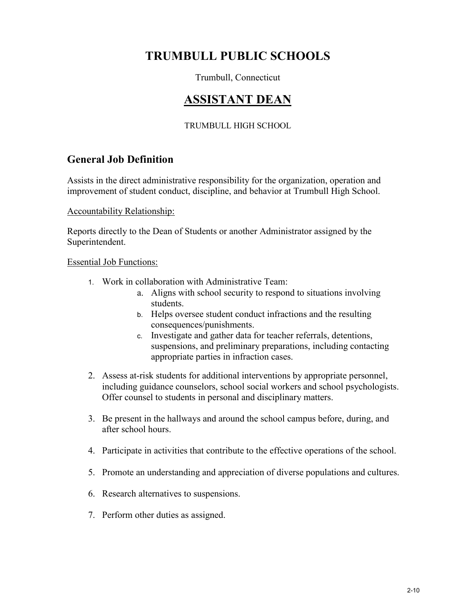## **TRUMBULL PUBLIC SCHOOLS**

## Trumbull, Connecticut

## **ASSISTANT DEAN**

## TRUMBULL HIGH SCHOOL

## **General Job Definition**

Assists in the direct administrative responsibility for the organization, operation and improvement of student conduct, discipline, and behavior at Trumbull High School.

Accountability Relationship:

Reports directly to the Dean of Students or another Administrator assigned by the Superintendent.

#### Essential Job Functions:

- 1. Work in collaboration with Administrative Team:
	- a. Aligns with school security to respond to situations involving students.
	- b. Helps oversee student conduct infractions and the resulting consequences/punishments.
	- c. Investigate and gather data for teacher referrals, detentions, suspensions, and preliminary preparations, including contacting appropriate parties in infraction cases.
- 2. Assess at-risk students for additional interventions by appropriate personnel, including guidance counselors, school social workers and school psychologists. Offer counsel to students in personal and disciplinary matters.
- 3. Be present in the hallways and around the school campus before, during, and after school hours.
- 4. Participate in activities that contribute to the effective operations of the school.
- 5. Promote an understanding and appreciation of diverse populations and cultures.
- 6. Research alternatives to suspensions.
- 7. Perform other duties as assigned.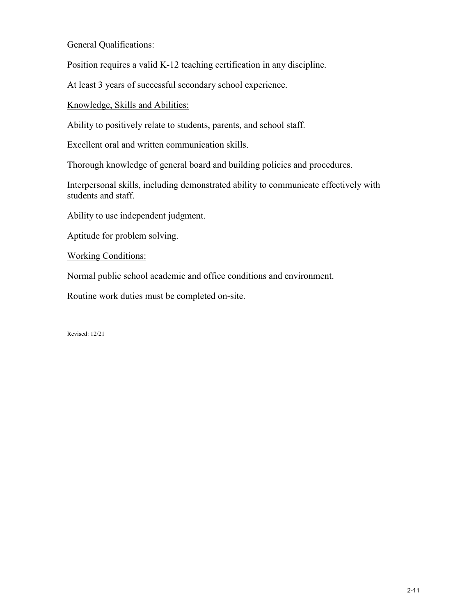## General Qualifications:

Position requires a valid K-12 teaching certification in any discipline.

At least 3 years of successful secondary school experience.

Knowledge, Skills and Abilities:

Ability to positively relate to students, parents, and school staff.

Excellent oral and written communication skills.

Thorough knowledge of general board and building policies and procedures.

Interpersonal skills, including demonstrated ability to communicate effectively with students and staff.

Ability to use independent judgment.

Aptitude for problem solving.

Working Conditions:

Normal public school academic and office conditions and environment.

Routine work duties must be completed on-site.

Revised: 12/21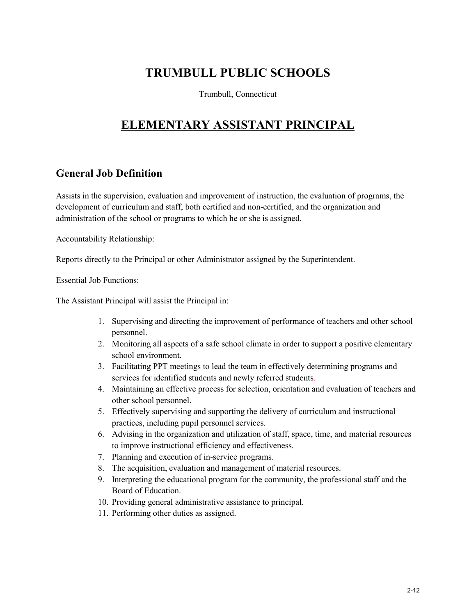## **TRUMBULL PUBLIC SCHOOLS**

Trumbull, Connecticut

## **ELEMENTARY ASSISTANT PRINCIPAL**

## **General Job Definition**

Assists in the supervision, evaluation and improvement of instruction, the evaluation of programs, the development of curriculum and staff, both certified and non-certified, and the organization and administration of the school or programs to which he or she is assigned.

Accountability Relationship:

Reports directly to the Principal or other Administrator assigned by the Superintendent.

#### Essential Job Functions:

The Assistant Principal will assist the Principal in:

- 1. Supervising and directing the improvement of performance of teachers and other school personnel.
- 2. Monitoring all aspects of a safe school climate in order to support a positive elementary school environment.
- 3. Facilitating PPT meetings to lead the team in effectively determining programs and services for identified students and newly referred students.
- 4. Maintaining an effective process for selection, orientation and evaluation of teachers and other school personnel.
- 5. Effectively supervising and supporting the delivery of curriculum and instructional practices, including pupil personnel services.
- 6. Advising in the organization and utilization of staff, space, time, and material resources to improve instructional efficiency and effectiveness.
- 7. Planning and execution of in-service programs.
- 8. The acquisition, evaluation and management of material resources.
- 9. Interpreting the educational program for the community, the professional staff and the Board of Education.
- 10. Providing general administrative assistance to principal.
- 11. Performing other duties as assigned.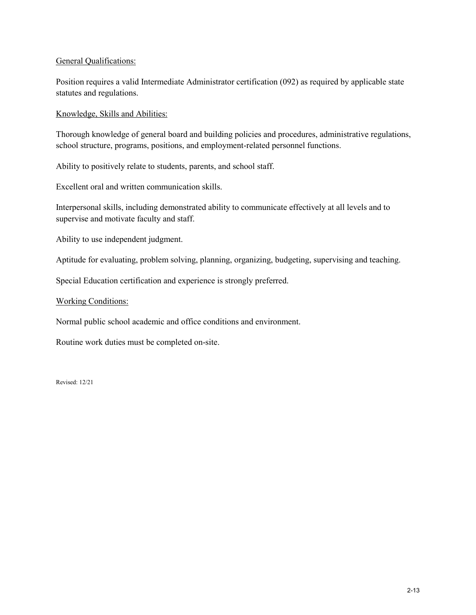#### General Qualifications:

Position requires a valid Intermediate Administrator certification (092) as required by applicable state statutes and regulations.

#### Knowledge, Skills and Abilities:

Thorough knowledge of general board and building policies and procedures, administrative regulations, school structure, programs, positions, and employment-related personnel functions.

Ability to positively relate to students, parents, and school staff.

Excellent oral and written communication skills.

Interpersonal skills, including demonstrated ability to communicate effectively at all levels and to supervise and motivate faculty and staff.

Ability to use independent judgment.

Aptitude for evaluating, problem solving, planning, organizing, budgeting, supervising and teaching.

Special Education certification and experience is strongly preferred.

Working Conditions:

Normal public school academic and office conditions and environment.

Routine work duties must be completed on-site.

Revised: 12/21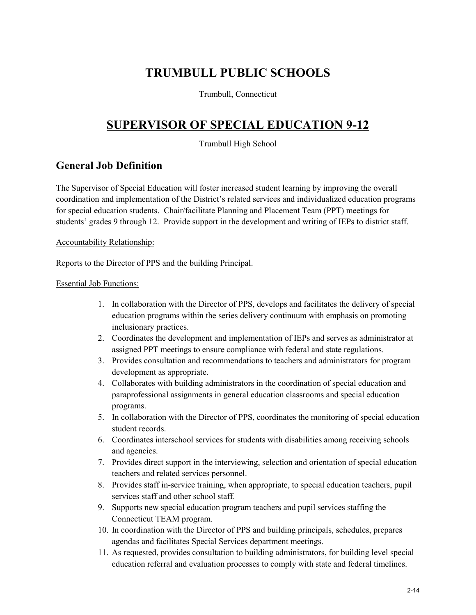## **TRUMBULL PUBLIC SCHOOLS**

Trumbull, Connecticut

## **SUPERVISOR OF SPECIAL EDUCATION 9-12**

Trumbull High School

## **General Job Definition**

The Supervisor of Special Education will foster increased student learning by improving the overall coordination and implementation of the District's related services and individualized education programs for special education students. Chair/facilitate Planning and Placement Team (PPT) meetings for students' grades 9 through 12. Provide support in the development and writing of IEPs to district staff.

Accountability Relationship:

Reports to the Director of PPS and the building Principal.

#### Essential Job Functions:

- 1. In collaboration with the Director of PPS, develops and facilitates the delivery of special education programs within the series delivery continuum with emphasis on promoting inclusionary practices.
- 2. Coordinates the development and implementation of IEPs and serves as administrator at assigned PPT meetings to ensure compliance with federal and state regulations.
- 3. Provides consultation and recommendations to teachers and administrators for program development as appropriate.
- 4. Collaborates with building administrators in the coordination of special education and paraprofessional assignments in general education classrooms and special education programs.
- 5. In collaboration with the Director of PPS, coordinates the monitoring of special education student records.
- 6. Coordinates interschool services for students with disabilities among receiving schools and agencies.
- 7. Provides direct support in the interviewing, selection and orientation of special education teachers and related services personnel.
- 8. Provides staff in-service training, when appropriate, to special education teachers, pupil services staff and other school staff.
- 9. Supports new special education program teachers and pupil services staffing the Connecticut TEAM program.
- 10. In coordination with the Director of PPS and building principals, schedules, prepares agendas and facilitates Special Services department meetings.
- 11. As requested, provides consultation to building administrators, for building level special education referral and evaluation processes to comply with state and federal timelines.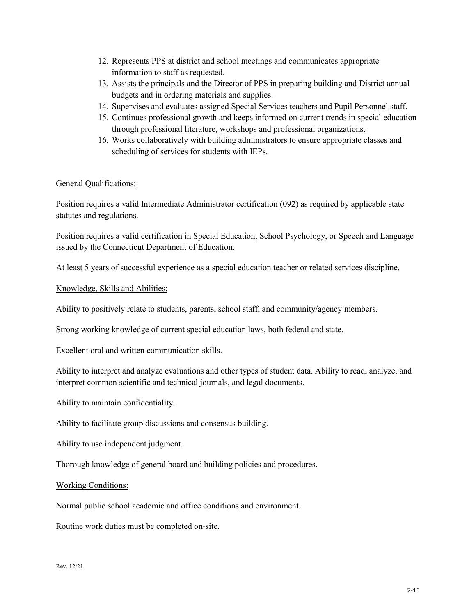- 12. Represents PPS at district and school meetings and communicates appropriate information to staff as requested.
- 13. Assists the principals and the Director of PPS in preparing building and District annual budgets and in ordering materials and supplies.
- 14. Supervises and evaluates assigned Special Services teachers and Pupil Personnel staff.
- 15. Continues professional growth and keeps informed on current trends in special education through professional literature, workshops and professional organizations.
- 16. Works collaboratively with building administrators to ensure appropriate classes and scheduling of services for students with IEPs.

#### General Qualifications:

Position requires a valid Intermediate Administrator certification (092) as required by applicable state statutes and regulations.

Position requires a valid certification in Special Education, School Psychology, or Speech and Language issued by the Connecticut Department of Education.

At least 5 years of successful experience as a special education teacher or related services discipline.

#### Knowledge, Skills and Abilities:

Ability to positively relate to students, parents, school staff, and community/agency members.

Strong working knowledge of current special education laws, both federal and state.

Excellent oral and written communication skills.

Ability to interpret and analyze evaluations and other types of student data. Ability to read, analyze, and interpret common scientific and technical journals, and legal documents.

Ability to maintain confidentiality.

Ability to facilitate group discussions and consensus building.

Ability to use independent judgment.

Thorough knowledge of general board and building policies and procedures.

#### Working Conditions:

Normal public school academic and office conditions and environment.

Routine work duties must be completed on-site.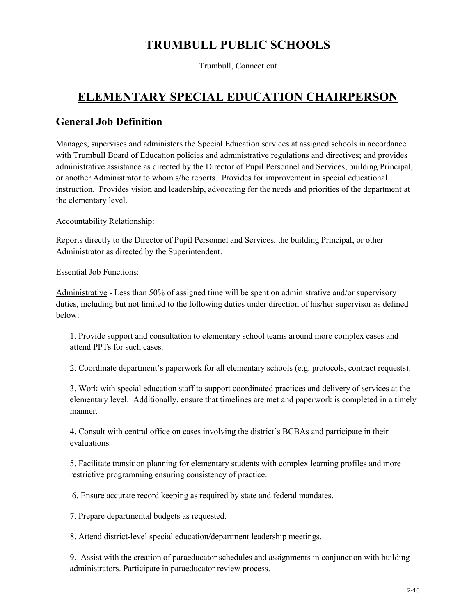## **TRUMBULL PUBLIC SCHOOLS**

Trumbull, Connecticut

## **ELEMENTARY SPECIAL EDUCATION CHAIRPERSON**

## **General Job Definition**

Manages, supervises and administers the Special Education services at assigned schools in accordance with Trumbull Board of Education policies and administrative regulations and directives; and provides administrative assistance as directed by the Director of Pupil Personnel and Services, building Principal, or another Administrator to whom s/he reports. Provides for improvement in special educational instruction. Provides vision and leadership, advocating for the needs and priorities of the department at the elementary level.

### Accountability Relationship:

Reports directly to the Director of Pupil Personnel and Services, the building Principal, or other Administrator as directed by the Superintendent.

#### Essential Job Functions:

Administrative - Less than 50% of assigned time will be spent on administrative and/or supervisory duties, including but not limited to the following duties under direction of his/her supervisor as defined below:

1. Provide support and consultation to elementary school teams around more complex cases and attend PPTs for such cases.

2. Coordinate department's paperwork for all elementary schools (e.g. protocols, contract requests).

3. Work with special education staff to support coordinated practices and delivery of services at the elementary level. Additionally, ensure that timelines are met and paperwork is completed in a timely manner.

4. Consult with central office on cases involving the district's BCBAs and participate in their evaluations.

5. Facilitate transition planning for elementary students with complex learning profiles and more restrictive programming ensuring consistency of practice.

6. Ensure accurate record keeping as required by state and federal mandates.

7. Prepare departmental budgets as requested.

8. Attend district-level special education/department leadership meetings.

9. Assist with the creation of paraeducator schedules and assignments in conjunction with building administrators. Participate in paraeducator review process.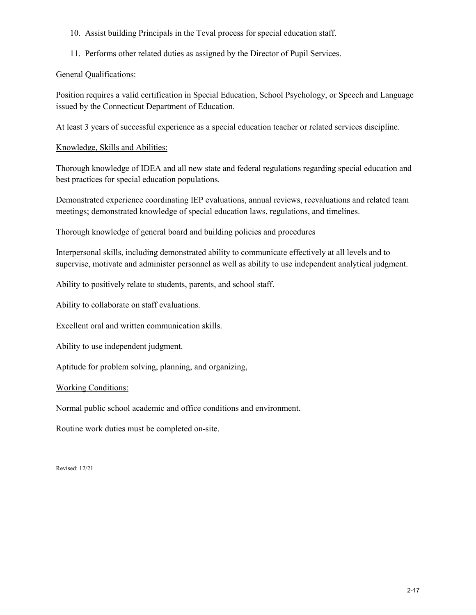- 10. Assist building Principals in the Teval process for special education staff.
- 11. Performs other related duties as assigned by the Director of Pupil Services.

#### General Qualifications:

Position requires a valid certification in Special Education, School Psychology, or Speech and Language issued by the Connecticut Department of Education.

At least 3 years of successful experience as a special education teacher or related services discipline.

#### Knowledge, Skills and Abilities:

Thorough knowledge of IDEA and all new state and federal regulations regarding special education and best practices for special education populations.

Demonstrated experience coordinating IEP evaluations, annual reviews, reevaluations and related team meetings; demonstrated knowledge of special education laws, regulations, and timelines.

Thorough knowledge of general board and building policies and procedures

Interpersonal skills, including demonstrated ability to communicate effectively at all levels and to supervise, motivate and administer personnel as well as ability to use independent analytical judgment.

Ability to positively relate to students, parents, and school staff.

Ability to collaborate on staff evaluations.

Excellent oral and written communication skills.

Ability to use independent judgment.

Aptitude for problem solving, planning, and organizing,

#### Working Conditions:

Normal public school academic and office conditions and environment.

Routine work duties must be completed on-site.

Revised: 12/21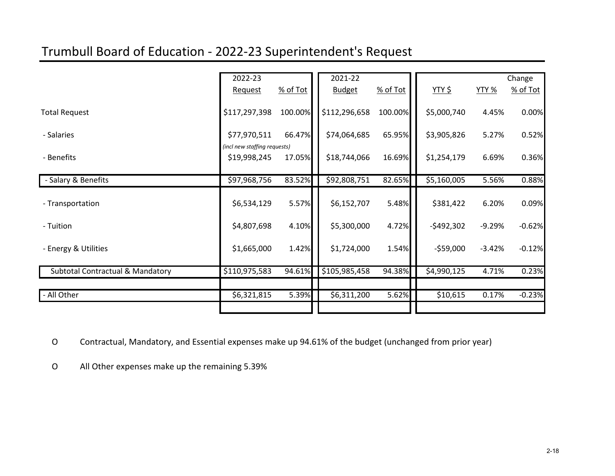## Trumbull Board of Education - 2022-23 Superintendent's Request

|                                             | 2022-23                      |          | 2021-22       |            |               |              | Change   |
|---------------------------------------------|------------------------------|----------|---------------|------------|---------------|--------------|----------|
|                                             | <b>Request</b>               | % of Tot | <b>Budget</b> | $%$ of Tot | <u>YTY \$</u> | <b>YTY %</b> | % of Tot |
| <b>Total Request</b>                        | \$117,297,398                | 100.00%  | \$112,296,658 | 100.00%    | \$5,000,740   | 4.45%        | 0.00%    |
| - Salaries                                  | \$77,970,511                 | 66.47%   | \$74,064,685  | 65.95%     | \$3,905,826   | 5.27%        | 0.52%    |
|                                             | (incl new staffing requests) |          |               |            |               |              |          |
| - Benefits                                  | \$19,998,245                 | 17.05%   | \$18,744,066  | 16.69%     | \$1,254,179   | 6.69%        | 0.36%    |
| - Salary & Benefits                         | \$97,968,756                 | 83.52%   | \$92,808,751  | 82.65%     | \$5,160,005   | 5.56%        | 0.88%    |
| - Transportation                            | \$6,534,129                  | 5.57%    | \$6,152,707   | 5.48%      | \$381,422     | 6.20%        | 0.09%    |
| - Tuition                                   | \$4,807,698                  | 4.10%    | \$5,300,000   | 4.72%      | $-$ \$492,302 | $-9.29%$     | $-0.62%$ |
| - Energy & Utilities                        | \$1,665,000                  | 1.42%    | \$1,724,000   | 1.54%      | $-$59,000$    | $-3.42%$     | $-0.12%$ |
| <b>Subtotal Contractual &amp; Mandatory</b> | \$110,975,583                | 94.61%   | \$105,985,458 | 94.38%     | \$4,990,125   | 4.71%        | 0.23%    |
|                                             |                              |          |               |            |               |              |          |
| - All Other                                 | \$6,321,815                  | 5.39%    | \$6,311,200   | 5.62%      | \$10,615      | 0.17%        | $-0.23%$ |
|                                             |                              |          |               |            |               |              |          |

O Contractual, Mandatory, and Essential expenses make up 94.61% of the budget (unchanged from prior year)

O All Other expenses make up the remaining 5.39%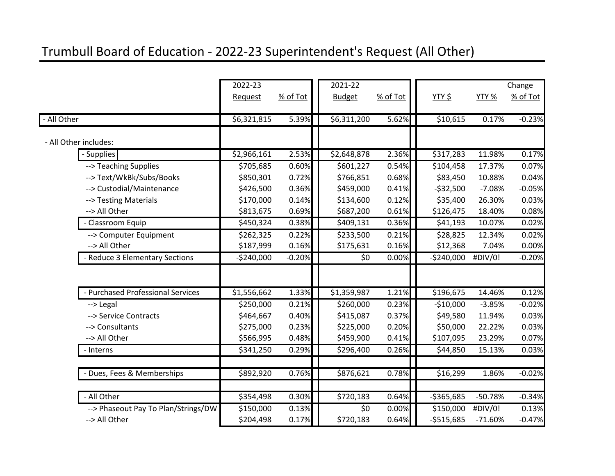## Trumbull Board of Education - 2022-23 Superintendent's Request (All Other)

|           |                                     | 2022-23     |          | 2021-22         |          |               |           | Change   |
|-----------|-------------------------------------|-------------|----------|-----------------|----------|---------------|-----------|----------|
|           |                                     | Request     | % of Tot | <b>Budget</b>   | % of Tot | <u>YTY \$</u> | YTY %     | % of Tot |
|           |                                     |             |          |                 |          |               |           |          |
| All Other |                                     | \$6,321,815 | 5.39%    | \$6,311,200     | 5.62%    | \$10,615      | 0.17%     | $-0.23%$ |
|           | - All Other includes:               |             |          |                 |          |               |           |          |
|           | - Supplies                          | \$2,966,161 | 2.53%    | \$2,648,878     | 2.36%    | \$317,283     | 11.98%    | 0.17%    |
|           | --> Teaching Supplies               | \$705,685   | 0.60%    | \$601,227       | 0.54%    | \$104,458     | 17.37%    | 0.07%    |
|           | --> Text/WkBk/Subs/Books            | \$850,301   | 0.72%    | \$766,851       | 0.68%    | \$83,450      | 10.88%    | 0.04%    |
|           | -- > Custodial/Maintenance          | \$426,500   | 0.36%    | \$459,000       | 0.41%    | $-532,500$    | $-7.08%$  | $-0.05%$ |
|           | --> Testing Materials               | \$170,000   | 0.14%    | \$134,600       | 0.12%    | \$35,400      | 26.30%    | 0.03%    |
|           | --> All Other                       | \$813,675   | 0.69%    | \$687,200       | 0.61%    | \$126,475     | 18.40%    | 0.08%    |
|           | - Classroom Equip                   | \$450,324   | 0.38%    | \$409,131       | 0.36%    | \$41,193      | 10.07%    | 0.02%    |
|           | --> Computer Equipment              | \$262,325   | 0.22%    | \$233,500       | 0.21%    | \$28,825      | 12.34%    | 0.02%    |
|           | --> All Other                       | \$187,999   | 0.16%    | \$175,631       | 0.16%    | \$12,368      | 7.04%     | 0.00%    |
|           | <b>Reduce 3 Elementary Sections</b> | $-$240,000$ | $-0.20%$ | \$0             | 0.00%    | $-$240,000$   | #DIV/0!   | $-0.20%$ |
|           |                                     |             |          |                 |          |               |           |          |
|           | - Purchased Professional Services   | \$1,556,662 | 1.33%    | \$1,359,987     | 1.21%    | \$196,675     | 14.46%    | 0.12%    |
|           | --> Legal                           | \$250,000   | 0.21%    | \$260,000       | 0.23%    | $-$10,000$    | $-3.85%$  | $-0.02%$ |
|           | --> Service Contracts               | \$464,667   | 0.40%    | \$415,087       | 0.37%    | \$49,580      | 11.94%    | 0.03%    |
|           | --> Consultants                     | \$275,000   | 0.23%    | \$225,000       | 0.20%    | \$50,000      | 22.22%    | 0.03%    |
|           | --> All Other                       | \$566,995   | 0.48%    | \$459,900       | 0.41%    | \$107,095     | 23.29%    | 0.07%    |
|           | - Interns                           | \$341,250   | 0.29%    | \$296,400       | 0.26%    | \$44,850      | 15.13%    | 0.03%    |
|           |                                     |             |          |                 |          |               |           |          |
|           | - Dues, Fees & Memberships          | \$892,920   | 0.76%    | \$876,621       | 0.78%    | \$16,299      | 1.86%     | $-0.02%$ |
|           |                                     |             |          |                 |          |               |           |          |
|           | - All Other                         | \$354,498   | 0.30%    | \$720,183       | 0.64%    | $-$365,685$   | $-50.78%$ | $-0.34%$ |
|           | --> Phaseout Pay To Plan/Strings/DW | \$150,000   | 0.13%    | $\overline{50}$ | 0.00%    | \$150,000     | #DIV/0!   | 0.13%    |
|           | --> All Other                       | \$204,498   | 0.17%    | \$720,183       | 0.64%    | $-$515,685$   | $-71.60%$ | $-0.47%$ |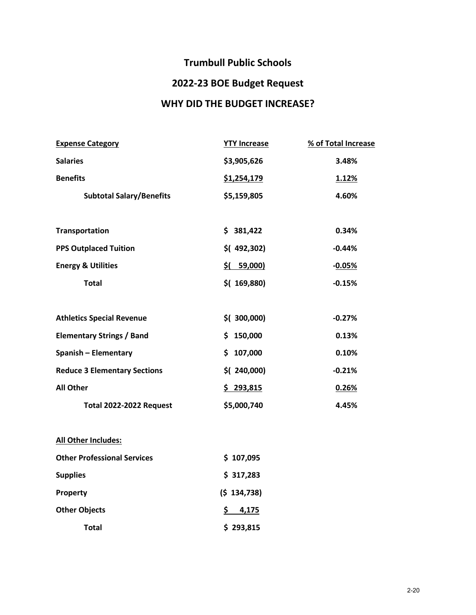## **Trumbull Public Schools**

## **2022-23 BOE Budget Request**

## **WHY DID THE BUDGET INCREASE?**

| <b>Expense Category</b>             | <b>YTY Increase</b> | % of Total Increase |
|-------------------------------------|---------------------|---------------------|
| <b>Salaries</b>                     | \$3,905,626         | 3.48%               |
| <b>Benefits</b>                     | \$1,254,179         | 1.12%               |
| <b>Subtotal Salary/Benefits</b>     | \$5,159,805         | 4.60%               |
|                                     |                     |                     |
| Transportation                      | \$381,422           | 0.34%               |
| <b>PPS Outplaced Tuition</b>        | $$$ (492,302)       | $-0.44%$            |
| <b>Energy &amp; Utilities</b>       | 59,000)<br>\$(      | $-0.05%$            |
| <b>Total</b>                        | $$$ (169,880)       | $-0.15%$            |
|                                     |                     |                     |
| <b>Athletics Special Revenue</b>    | $$$ ( 300,000)      | $-0.27%$            |
| <b>Elementary Strings / Band</b>    | 150,000<br>\$.      | 0.13%               |
| <b>Spanish - Elementary</b>         | 107,000<br>\$.      | 0.10%               |
| <b>Reduce 3 Elementary Sections</b> | $$$ (240,000)       | $-0.21%$            |
| <b>All Other</b>                    | \$293,815           | 0.26%               |
| <b>Total 2022-2022 Request</b>      | \$5,000,740         | 4.45%               |
|                                     |                     |                     |
| All Other Includes:                 |                     |                     |

| <b>Other Professional Services</b> | \$107,095    |
|------------------------------------|--------------|
| <b>Supplies</b>                    | \$317,283    |
| Property                           | (5 134, 738) |
| <b>Other Objects</b>               | S.<br>4.175  |
| Total                              | \$293,815    |